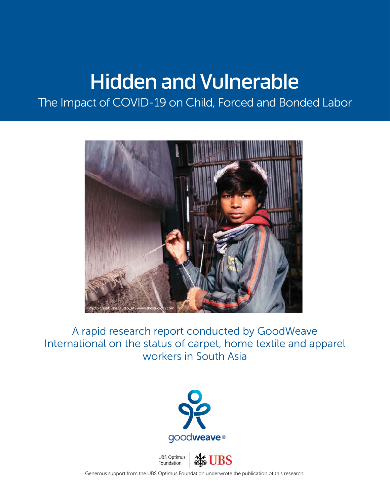# Hidden and Vulnerable

The Impact of COVID-19 on Child, Forced and Bonded Labor



A rapid research report conducted by GoodWeave International on the status of carpet, home textile and apparel workers in South Asia





Generous support from the UBS Optimus Foundation underwrote the publication of this research.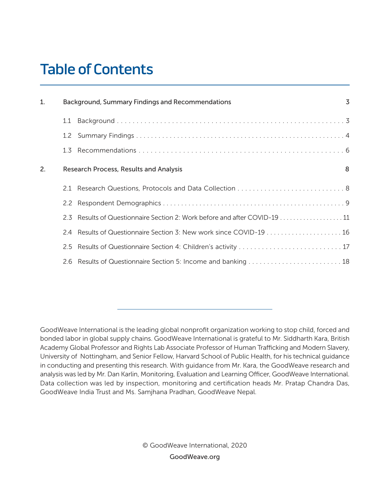# Table of Contents

| 1. |     | Background, Summary Findings and Recommendations                          | 3 |
|----|-----|---------------------------------------------------------------------------|---|
|    | 1.1 |                                                                           |   |
|    | 1.2 |                                                                           |   |
|    |     |                                                                           |   |
| 2. |     | <b>Research Process, Results and Analysis</b>                             | 8 |
|    |     |                                                                           |   |
|    |     |                                                                           |   |
|    |     | 2.3 Results of Questionnaire Section 2: Work before and after COVID-19 11 |   |
|    | 2.4 |                                                                           |   |
|    |     | 2.5 Results of Questionnaire Section 4: Children's activity  17           |   |
|    |     |                                                                           |   |

GoodWeave International is the leading global nonprofit organization working to stop child, forced and bonded labor in global supply chains. GoodWeave International is grateful to Mr. Siddharth Kara, British Academy Global Professor and Rights Lab Associate Professor of Human Trafficking and Modern Slavery, University of Nottingham, and Senior Fellow, Harvard School of Public Health, for his technical guidance in conducting and presenting this research. With guidance from Mr. Kara, the GoodWeave research and analysis was led by Mr. Dan Karlin, Monitoring, Evaluation and Learning Officer, GoodWeave International. Data collection was led by inspection, monitoring and certification heads Mr. Pratap Chandra Das, GoodWeave India Trust and Ms. Samjhana Pradhan, GoodWeave Nepal.

> © GoodWeave International, 2020 GoodWeave.org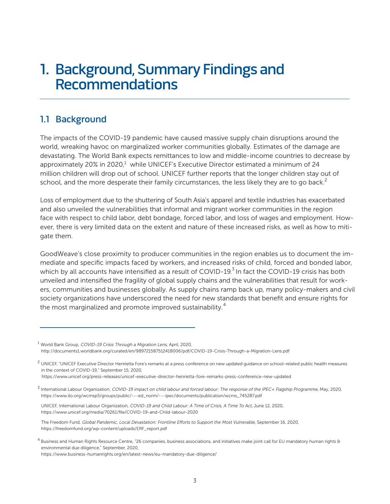# 1. Background, Summary Findings and **Recommendations**

# 1.1 Background

The impacts of the COVID-19 pandemic have caused massive supply chain disruptions around the world, wreaking havoc on marginalized worker communities globally. Estimates of the damage are devastating. The World Bank expects remittances to low and middle-income countries to decrease by approximately 20% in 2020, $1$  while UNICEF's Executive Director estimated a minimum of 24 million children will drop out of school. UNICEF further reports that the longer children stay out of school, and the more desperate their family circumstances, the less likely they are to go back.<sup>2</sup>

Loss of employment due to the shuttering of South Asia's apparel and textile industries has exacerbated and also unveiled the vulnerabilities that informal and migrant worker communities in the region face with respect to child labor, debt bondage, forced labor, and loss of wages and employment. However, there is very limited data on the extent and nature of these increased risks, as well as how to mitigate them.

GoodWeave's close proximity to producer communities in the region enables us to document the immediate and specific impacts faced by workers, and increased risks of child, forced and bonded labor, which by all accounts have intensified as a result of COVID-19.<sup>3</sup> In fact the COVID-19 crisis has both unveiled and intensified the fragility of global supply chains and the vulnerabilities that result for workers, communities and businesses globally. As supply chains ramp back up, many policy-makers and civil society organizations have underscored the need for new standards that benefit and ensure rights for the most marginalized and promote improved sustainability.<sup>4</sup>

<sup>&</sup>lt;sup>1</sup> World Bank Group, COVID-19 Crisis Through a Migration Lens, April, 2020, http://documents1.worldbank.org/curated/en/989721587512418006/pdf/COVID-19-Crisis-Through-a-Migration-Lens.pdf

 $^2$  UNICEF, "UNICEF Executive Director Henrietta Fore's remarks at a press conference on new updated guidance on school-related public health measures in the context of COVID-19," September 15, 2020,

https://www.unicef.org/press-releases/unicef-executive-director-henrietta-fore-remarks-press-conference-new-updated

<sup>&</sup>lt;sup>3</sup> International Labour Organization, COVID-19 impact on child labour and forced labour: The response of the IPEC+ Flagship Programme, May, 2020, https://www.ilo.org/wcmsp5/groups/public/---ed\_norm/---ipec/documents/publication/wcms\_745287.pdf

UNICEF, International Labour Organization, COVID-19 and Child Labour: A Time of Crisis, A Time To Act, June 12, 2020, https://www.unicef.org/media/70261/file/COVID-19-and-Child-labour-2020

The Freedom Fund, Global Pandemic, Local Devastation: Frontline Efforts to Support the Most Vulnerable, September 16, 2020, https://freedomfund.org/wp-content/uploads/ERF\_report.pdf

<sup>4</sup> Business and Human Rights Resource Centre, "26 companies, business associations, and initiatives make joint call for EU mandatory human rights & environmental due diligence," September, 2020,

https://www.business-humanrights.org/en/latest-news/eu-mandatory-due-diligence/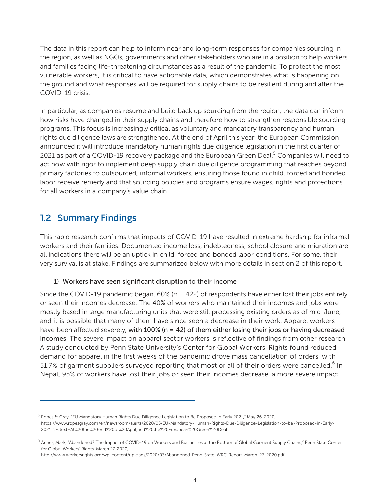The data in this report can help to inform near and long-term responses for companies sourcing in the region, as well as NGOs, governments and other stakeholders who are in a position to help workers and families facing life-threatening circumstances as a result of the pandemic. To protect the most vulnerable workers, it is critical to have actionable data, which demonstrates what is happening on the ground and what responses will be required for supply chains to be resilient during and after the COVID-19 crisis.

In particular, as companies resume and build back up sourcing from the region, the data can inform how risks have changed in their supply chains and therefore how to strengthen responsible sourcing programs. This focus is increasingly critical as voluntary and mandatory transparency and human rights due diligence laws are strengthened. At the end of April this year, the European Commission announced it will introduce mandatory human rights due diligence legislation in the first quarter of 2021 as part of a COVID-19 recovery package and the European Green Deal.<sup>5</sup> Companies will need to act now with rigor to implement deep supply chain due diligence programming that reaches beyond primary factories to outsourced, informal workers, ensuring those found in child, forced and bonded labor receive remedy and that sourcing policies and programs ensure wages, rights and protections for all workers in a company's value chain.

# 1.2 Summary Findings

This rapid research confirms that impacts of COVID-19 have resulted in extreme hardship for informal workers and their families. Documented income loss, indebtedness, school closure and migration are all indications there will be an uptick in child, forced and bonded labor conditions. For some, their very survival is at stake. Findings are summarized below with more details in section 2 of this report.

## 1) Workers have seen significant disruption to their income

Since the COVID-19 pandemic began,  $60\%$  (n = 422) of respondents have either lost their jobs entirely or seen their incomes decrease. The 40% of workers who maintained their incomes and jobs were mostly based in large manufacturing units that were still processing existing orders as of mid-June, and it is possible that many of them have since seen a decrease in their work. Apparel workers have been affected severely, with 100% (n = 42) of them either losing their jobs or having decreased incomes. The severe impact on apparel sector workers is reflective of findings from other research. A study conducted by Penn State University's Center for Global Workers' Rights found reduced demand for apparel in the first weeks of the pandemic drove mass cancellation of orders, with 51.7% of garment suppliers surveyed reporting that most or all of their orders were cancelled.<sup>6</sup> In Nepal, 95% of workers have lost their jobs or seen their incomes decrease, a more severe impact

 $^5$  Ropes & Gray, "EU Mandatory Human Rights Due Diligence Legislation to Be Proposed in Early 2021," May 26, 2020, https://www.ropesgray.com/en/newsroom/alerts/2020/05/EU-Mandatory-Human-Rights-Due-Diligence-Legislation-to-be-Proposed-in-Early-2021#:~:text=At%20the%20end%20of%20April,and%20the%20European%20Green%20Deal

<sup>6</sup> Anner, Mark, "Abandoned? The Impact of COVID-19 on Workers and Businesses at the Bottom of Global Garment Supply Chains," Penn State Center for Global Workers' Rights, March 27, 2020,

http://www.workersrights.org/wp-content/uploads/2020/03/Abandoned-Penn-State-WRC-Report-March-27-2020.pdf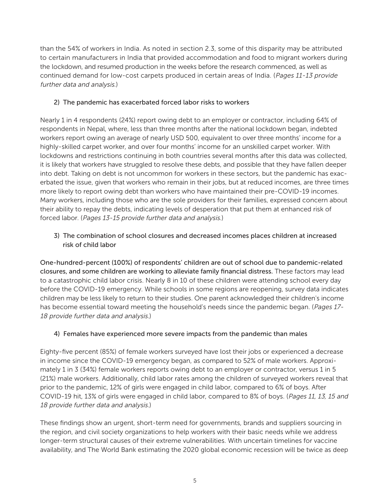than the 54% of workers in India. As noted in section 2.3, some of this disparity may be attributed to certain manufacturers in India that provided accommodation and food to migrant workers during the lockdown, and resumed production in the weeks before the research commenced, as well as continued demand for low-cost carpets produced in certain areas of India. (Pages 11-13 provide further data and analysis.)

# 2) The pandemic has exacerbated forced labor risks to workers

Nearly 1 in 4 respondents (24%) report owing debt to an employer or contractor, including 64% of respondents in Nepal, where, less than three months after the national lockdown began, indebted workers report owing an average of nearly USD 500, equivalent to over three months' income for a highly-skilled carpet worker, and over four months' income for an unskilled carpet worker. With lockdowns and restrictions continuing in both countries several months after this data was collected, it is likely that workers have struggled to resolve these debts, and possible that they have fallen deeper into debt. Taking on debt is not uncommon for workers in these sectors, but the pandemic has exacerbated the issue, given that workers who remain in their jobs, but at reduced incomes, are three times more likely to report owing debt than workers who have maintained their pre-COVID-19 incomes. Many workers, including those who are the sole providers for their families, expressed concern about their ability to repay the debts, indicating levels of desperation that put them at enhanced risk of forced labor. (Pages 13-15 provide further data and analysis.)

# 3) The combination of school closures and decreased incomes places children at increased risk of child labor

One-hundred-percent (100%) of respondents' children are out of school due to pandemic-related closures, and some children are working to alleviate family financial distress. These factors may lead to a catastrophic child labor crisis. Nearly 8 in 10 of these children were attending school every day before the COVID-19 emergency. While schools in some regions are reopening, survey data indicates children may be less likely to return to their studies. One parent acknowledged their children's income has become essential toward meeting the household's needs since the pandemic began. (Pages 17-18 provide further data and analysis.)

# 4) Females have experienced more severe impacts from the pandemic than males

Eighty-five percent (85%) of female workers surveyed have lost their jobs or experienced a decrease in income since the COVID-19 emergency began, as compared to 52% of male workers. Approximately 1 in 3 (34%) female workers reports owing debt to an employer or contractor, versus 1 in 5 (21%) male workers. Additionally, child labor rates among the children of surveyed workers reveal that prior to the pandemic, 12% of girls were engaged in child labor, compared to 6% of boys. After COVID-19 hit, 13% of girls were engaged in child labor, compared to 8% of boys. (Pages 11, 13, 15 and 18 provide further data and analysis.)

These findings show an urgent, short-term need for governments, brands and suppliers sourcing in the region, and civil society organizations to help workers with their basic needs while we address longer-term structural causes of their extreme vulnerabilities. With uncertain timelines for vaccine availability, and The World Bank estimating the 2020 global economic recession will be twice as deep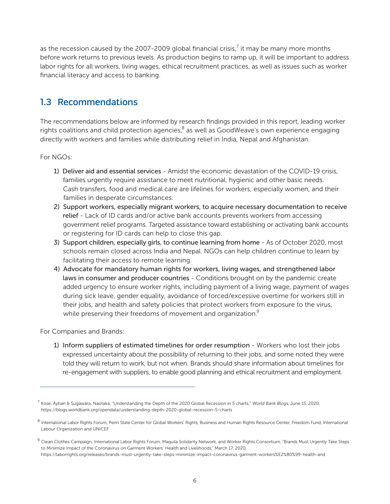as the recession caused by the 2007-2009 global financial crisis, $^7$  it may be many more months before work returns to previous levels. As production begins to ramp up, it will be important to address labor rights for all workers, living wages, ethical recruitment practices, as well as issues such as worker financial literacy and access to banking.

# 1.3 Recommendations

The recommendations below are informed by research findings provided in this report, leading worker rights coalitions and child protection agencies, $^8$  as well as GoodWeave's own experience engaging directly with workers and families while distributing relief in India, Nepal and Afghanistan.

For NGOs:

- 1) Deliver aid and essential services Amidst the economic devastation of the COVID-19 crisis, families urgently require assistance to meet nutritional, hygienic and other basic needs. Cash transfers, food and medical care are lifelines for workers, especially women, and their families in desperate circumstances.
- 2) Support workers, especially migrant workers, to acquire necessary documentation to receive relief - Lack of ID cards and/or active bank accounts prevents workers from accessing government relief programs. Targeted assistance toward establishing or activating bank accounts or registering for ID cards can help to close this gap.
- 3) Support children, especially girls, to continue learning from home As of October 2020, most schools remain closed across India and Nepal. NGOs can help children continue to learn by facilitating their access to remote learning.
- 4) Advocate for mandatory human rights for workers, living wages, and strengthened labor laws in consumer and producer countries - Conditions brought on by the pandemic create added urgency to ensure worker rights, including payment of a living wage, payment of wages during sick leave, gender equality, avoidance of forced/excessive overtime for workers still in their jobs, and health and safety policies that protect workers from exposure to the virus, while preserving their freedoms of movement and organization.<sup>9</sup>

For Companies and Brands:

1) Inform suppliers of estimated timelines for order resumption - Workers who lost their jobs expressed uncertainty about the possibility of returning to their jobs, and some noted they were told they will return to work, but not when. Brands should share information about timelines for re-engagement with suppliers, to enable good planning and ethical recruitment and employment.

<sup>&</sup>lt;sup>7</sup> Kose, Ayhan & Sugawara, Naotaka, "Understanding the Depth of the 2020 Global Recession in 5 charts," World Bank Blogs, June 15, 2020, https://blogs.worldbank.org/opendata/understanding-depth-2020-global-recession-5-charts

<sup>&</sup>lt;sup>8</sup> International Labor Rights Forum, Penn State Center for Global Workers' Rights, Business and Human Rights Resource Center, Freedom Fund, International Labour Organization and UNICEF

 $9$  Clean Clothes Campaign, International Labor Rights Forum, Maquila Solidarity Network, and Worker Rights Consortium, "Brands Must Urgently Take Steps to Minimize Impact of the Coronavirus on Garment Workers' Health and Livelihoods," March 17, 2020, https://laborrights.org/releases/brands-must-urgently-take-steps-minimize-impact-coronavirus-garment-workers%E2%80%99-health-and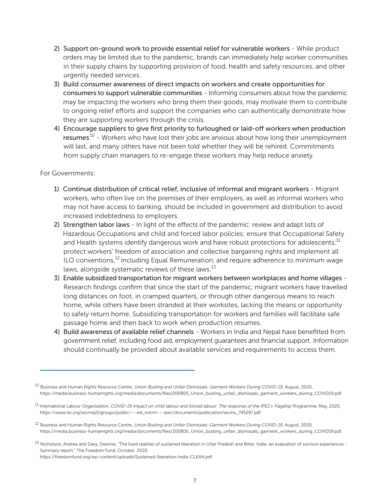- 2) Support on-ground work to provide essential relief for vulnerable workers While product orders may be limited due to the pandemic, brands can immediately help worker communities in their supply chains by supporting provision of food, health and safety resources, and other urgently needed services.
- 3) Build consumer awareness of direct impacts on workers and create opportunities for consumers to support vulnerable communities - Informing consumers about how the pandemic may be impacting the workers who bring them their goods, may motivate them to contribute to ongoing relief efforts and support the companies who can authentically demonstrate how they are supporting workers through the crisis.
- 4) Encourage suppliers to give first priority to furloughed or laid-off workers when production resumes<sup>10</sup> - Workers who have lost their jobs are anxious about how long their unemployment will last, and many others have not been told whether they will be rehired. Commitments from supply chain managers to re-engage these workers may help reduce anxiety.

## For Governments:

- 1) Continue distribution of critical relief, inclusive of informal and migrant workers Migrant workers, who often live on the premises of their employers, as well as informal workers who may not have access to banking, should be included in government aid distribution to avoid increased indebtedness to employers.
- 2) Strengthen labor laws In light of the effects of the pandemic: review and adapt lists of Hazardous Occupations and child and forced labor policies; ensure that Occupational Safety and Health systems identify dangerous work and have robust protections for adolescents;<sup>11</sup> protect workers' freedom of association and collective bargaining rights and implement all ILO conventions, $^{12}$  including Equal Remuneration; and require adherence to minimum wage laws, alongside systematic reviews of these laws.<sup>13</sup>
- 3) Enable subsidized transportation for migrant workers between workplaces and home villages Research findings confirm that since the start of the pandemic, migrant workers have travelled long distances on foot, in cramped quarters, or through other dangerous means to reach home, while others have been stranded at their worksites, lacking the means or opportunity to safely return home. Subsidizing transportation for workers and families will facilitate safe passage home and then back to work when production resumes.
- 4) Build awareness of available relief channels Workers in India and Nepal have benefitted from government relief, including food aid, employment guarantees and financial support. Information should continually be provided about available services and requirements to access them.

- <sup>12</sup> Business and Human Rights Resource Centre, Union Busting and Unfair Dismissals: Garment Workers During COVID-19, August, 2020, https://media.business-humanrights.org/media/documents/files/200805\_Union\_busting\_unfair\_dismissals\_garment\_workers\_during\_COVID19.pdf
- <sup>13</sup> Nicholson, Andrea and Davy, Deanna, "The lived realities of sustained liberation in Uttar Pradesh and Bihar, India: an evaluation of survivor experiences -Summary report," The Freedom Fund, October, 2020, https://freedomfund.org/wp-content/uploads/Sustained-liberation-India-CLEAN.pdf

<sup>&</sup>lt;sup>10</sup> Business and Human Rights Resource Centre, Union Busting and Unfair Dismissals: Garment Workers During COVID-19, August, 2020, https://media.business-humanrights.org/media/documents/files/200805\_Union\_busting\_unfair\_dismissals\_garment\_workers\_during\_COVID19.pdf

<sup>&</sup>lt;sup>11</sup> International Labour Organization, COVID-19 impact on child labour and forced labour: The response of the IPEC+ Flagship Programme, May, 2020, https://www.ilo.org/wcmsp5/groups/public/---ed\_norm/---ipec/documents/publication/wcms\_745287.pdf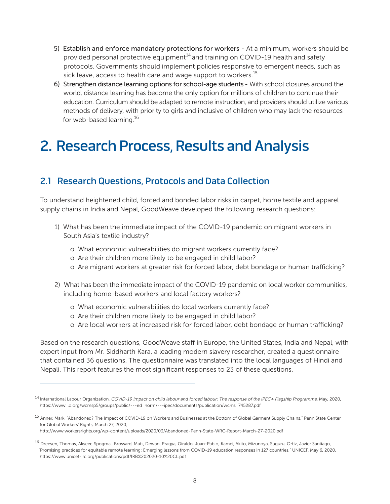- 5) Establish and enforce mandatory protections for workers At a minimum, workers should be provided personal protective equipment<sup>14</sup> and training on COVID-19 health and safety protocols. Governments should implement policies responsive to emergent needs, such as sick leave, access to health care and wage support to workers.<sup>15</sup>
- 6) Strengthen distance learning options for school-age students With school closures around the world, distance learning has become the only option for millions of children to continue their education. Curriculum should be adapted to remote instruction, and providers should utilize various methods of delivery, with priority to girls and inclusive of children who may lack the resources for web-based learning.<sup>16</sup>

# 2. Research Process, Results and Analysis

# 2.1 Research Questions, Protocols and Data Collection

To understand heightened child, forced and bonded labor risks in carpet, home textile and apparel supply chains in India and Nepal, GoodWeave developed the following research questions:

- 1) What has been the immediate impact of the COVID-19 pandemic on migrant workers in South Asia's textile industry?
	- o What economic vulnerabilities do migrant workers currently face?
	- o Are their children more likely to be engaged in child labor?
	- o Are migrant workers at greater risk for forced labor, debt bondage or human trafficking?
- 2) What has been the immediate impact of the COVID-19 pandemic on local worker communities, including home-based workers and local factory workers?
	- o What economic vulnerabilities do local workers currently face?
	- o Are their children more likely to be engaged in child labor?
	- o Are local workers at increased risk for forced labor, debt bondage or human trafficking?

Based on the research questions, GoodWeave staff in Europe, the United States, India and Nepal, with expert input from Mr. Siddharth Kara, a leading modern slavery researcher, created a questionnaire that contained 36 questions. The questionnaire was translated into the local languages of Hindi and Nepali. This report features the most significant responses to 23 of these questions.

http://www.workersrights.org/wp-content/uploads/2020/03/Abandoned-Penn-State-WRC-Report-March-27-2020.pdf

<sup>&</sup>lt;sup>14</sup> International Labour Organization, COVID-19 impact on child labour and forced labour: The response of the IPEC+ Flagship Programme, May, 2020, https://www.ilo.org/wcmsp5/groups/public/---ed\_norm/---ipec/documents/publication/wcms\_745287.pdf

<sup>&</sup>lt;sup>15</sup> Anner, Mark, "Abandoned? The Impact of COVID-19 on Workers and Businesses at the Bottom of Global Garment Supply Chains," Penn State Center for Global Workers' Rights, March 27, 2020,

<sup>&</sup>lt;sup>16</sup> Dreesen, Thomas, Akseer, Spogmai, Brossard, Matt, Dewan, Pragya, Giraldo, Juan-Pablo, Kamei, Akito, Mizunoya, Suguru, Ortiz, Javier Santiago, "Promising practices for equitable remote learning: Emerging lessons from COVID-19 education responses in 127 countries," UNICEF, May 6, 2020, https://www.unicef-irc.org/publications/pdf/IRB%202020-10%20CL.pdf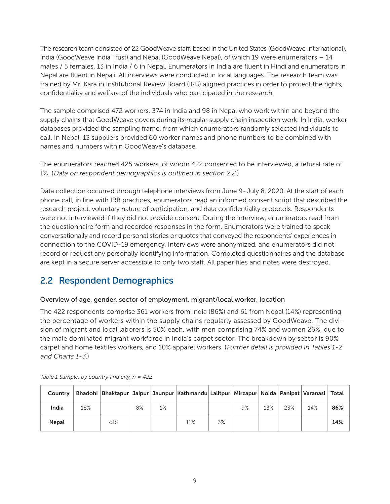The research team consisted of 22 GoodWeave staff, based in the United States (GoodWeave International), India (GoodWeave India Trust) and Nepal (GoodWeave Nepal), of which 19 were enumerators – 14 males / 5 females, 13 in India / 6 in Nepal. Enumerators in India are fluent in Hindi and enumerators in Nepal are fluent in Nepali. All interviews were conducted in local languages. The research team was trained by Mr. Kara in Institutional Review Board (IRB) aligned practices in order to protect the rights, confidentiality and welfare of the individuals who participated in the research.

The sample comprised 472 workers, 374 in India and 98 in Nepal who work within and beyond the supply chains that GoodWeave covers during its regular supply chain inspection work. In India, worker databases provided the sampling frame, from which enumerators randomly selected individuals to call. In Nepal, 13 suppliers provided 60 worker names and phone numbers to be combined with names and numbers within GoodWeave's database.

The enumerators reached 425 workers, of whom 422 consented to be interviewed, a refusal rate of 1%. (Data on respondent demographics is outlined in section 2.2.)

Data collection occurred through telephone interviews from June 9-July 8, 2020. At the start of each phone call, in line with IRB practices, enumerators read an informed consent script that described the research project, voluntary nature of participation, and data confidentiality protocols. Respondents were not interviewed if they did not provide consent. During the interview, enumerators read from the questionnaire form and recorded responses in the form. Enumerators were trained to speak conversationally and record personal stories or quotes that conveyed the respondents' experiences in connection to the COVID-19 emergency. Interviews were anonymized, and enumerators did not record or request any personally identifying information. Completed questionnaires and the database are kept in a secure server accessible to only two staff. All paper files and notes were destroyed.

# 2.2 Respondent Demographics

## Overview of age, gender, sector of employment, migrant/local worker, location

The 422 respondents comprise 361 workers from India (86%) and 61 from Nepal (14%) representing the percentage of workers within the supply chains regularly assessed by GoodWeave. The division of migrant and local laborers is 50% each, with men comprising 74% and women 26%, due to the male dominated migrant workforce in India's carpet sector. The breakdown by sector is 90% carpet and home textiles workers, and 10% apparel workers. (Further detail is provided in Tables 1-2 and Charts 1-3.)

| Country      |     |        |    |    | Bhadohi   Bhaktapur   Jaipur   Jaunpur   Kathmandu   Lalitpur   Mirzapur   Noida   Panipat   Varanasi   Total |    |    |     |     |     |     |
|--------------|-----|--------|----|----|---------------------------------------------------------------------------------------------------------------|----|----|-----|-----|-----|-----|
| India        | 18% |        | 8% | 1% |                                                                                                               |    | 9% | 13% | 23% | 14% | 86% |
| <b>Nepal</b> |     | $<1\%$ |    |    | 11%                                                                                                           | 3% |    |     |     |     | 14% |

Table 1 Sample, by country and city,  $n = 422$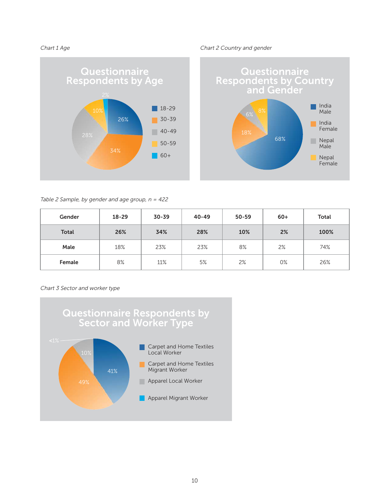Chart 1 Age Chart 2 Country and gender





### Table 2 Sample, by gender and age group,  $n = 422$

| Gender       | $18 - 29$ | $30 - 39$ | $40 - 49$ | $50 - 59$ | $60+$ | <b>Total</b> |
|--------------|-----------|-----------|-----------|-----------|-------|--------------|
| <b>Total</b> | 26%       | 34%       | 28%       | 10%       | 2%    | 100%         |
| Male         | 18%       | 23%       | 23%       | 8%        | 2%    | 74%          |
| Female       | 8%        | 11%       | 5%        | 2%        | 0%    | 26%          |

### Chart 3 Sector and worker type

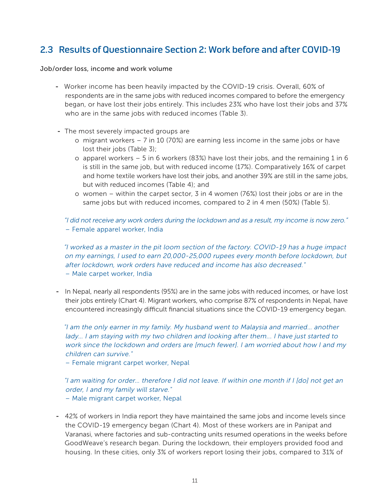# 2.3 Results of Questionnaire Section 2: Work before and after COVID-19

Job/order loss, income and work volume

- Worker income has been heavily impacted by the COVID-19 crisis. Overall, 60% of respondents are in the same jobs with reduced incomes compared to before the emergency began, or have lost their jobs entirely. This includes 23% who have lost their jobs and 37% who are in the same jobs with reduced incomes (Table 3).
- The most severely impacted groups are
	- o migrant workers 7 in 10 (70%) are earning less income in the same jobs or have lost their jobs (Table 3);
	- o apparel workers 5 in 6 workers (83%) have lost their jobs, and the remaining 1 in 6 is still in the same job, but with reduced income (17%). Comparatively 16% of carpet and home textile workers have lost their jobs, and another 39% are still in the same jobs, but with reduced incomes (Table 4); and
	- o women within the carpet sector, 3 in 4 women (76%) lost their jobs or are in the same jobs but with reduced incomes, compared to 2 in 4 men (50%) (Table 5).

"I did not receive any work orders during the lockdown and as a result, my income is now zero." – Female apparel worker, India

"I worked as a master in the pit loom section of the factory. COVID-19 has a huge impact on my earnings, I used to earn 20,000-25,000 rupees every month before lockdown, but after lockdown, work orders have reduced and income has also decreased." – Male carpet worker, India

- In Nepal, nearly all respondents (95%) are in the same jobs with reduced incomes, or have lost their jobs entirely (Chart 4). Migrant workers, who comprise 87% of respondents in Nepal, have encountered increasingly difficult financial situations since the COVID-19 emergency began.

"I am the only earner in my family. My husband went to Malaysia and married… another lady… I am staying with my two children and looking after them... I have just started to work since the lockdown and orders are [much fewer]. I am worried about how I and my children can survive."

– Female migrant carpet worker, Nepal

"I am waiting for order… therefore I did not leave. If within one month if I [do] not get an order, I and my family will starve." – Male migrant carpet worker, Nepal

- 42% of workers in India report they have maintained the same jobs and income levels since the COVID-19 emergency began (Chart 4). Most of these workers are in Panipat and Varanasi, where factories and sub-contracting units resumed operations in the weeks before GoodWeave's research began. During the lockdown, their employers provided food and housing. In these cities, only 3% of workers report losing their jobs, compared to 31% of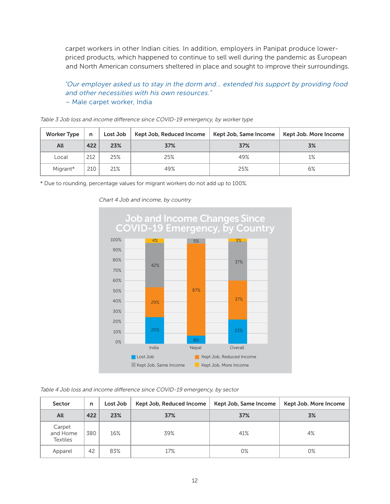carpet workers in other Indian cities. In addition, employers in Panipat produce lowerpriced products, which happened to continue to sell well during the pandemic as European and North American consumers sheltered in place and sought to improve their surroundings.

"Our employer asked us to stay in the dorm and… extended his support by providing food and other necessities with his own resources." – Male carpet worker, India

| <b>Worker Type</b><br>Lost Job<br>n |     |     | Kept Job, Reduced Income | Kept Job, Same Income | Kept Job. More Income |
|-------------------------------------|-----|-----|--------------------------|-----------------------|-----------------------|
| All                                 | 422 | 23% | 37%                      | 37%                   | 3%                    |
| Local                               | 212 | 25% | 25%                      | 49%                   | 1%                    |
| Migrant*                            | 210 | 21% | 49%                      | 25%                   | 6%                    |

Table 3 Job loss and income difference since COVID-19 emergency, by worker type

\* Due to rounding, percentage values for migrant workers do not add up to 100%.



Chart 4 Job and income, by country

Table 4 Job loss and income difference since COVID-19 emergency, by sector

| Sector                                | n   | Lost Job | Kept Job, Reduced Income | Kept Job, Same Income | Kept Job. More Income |
|---------------------------------------|-----|----------|--------------------------|-----------------------|-----------------------|
| All                                   | 422 | 23%      | 37%                      | 37%                   | 3%                    |
| Carpet<br>and Home<br><b>Textiles</b> | 380 | 16%      | 39%                      | 41%                   | 4%                    |
| Apparel                               | 42  | 83%      | 17%                      | 0%                    | 0%                    |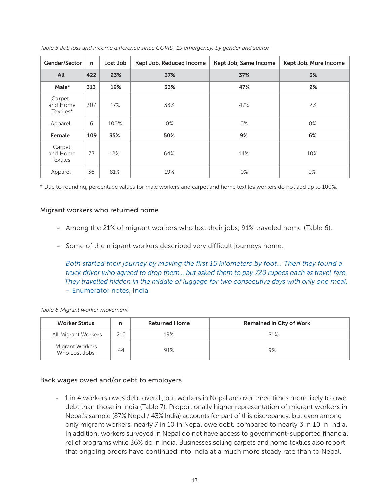| Gender/Sector                         | n   | Lost Job | Kept Job, Reduced Income | Kept Job, Same Income | Kept Job. More Income |
|---------------------------------------|-----|----------|--------------------------|-----------------------|-----------------------|
| All                                   | 422 | 23%      | 37%                      | 37%                   | 3%                    |
| Male*                                 | 313 | 19%      | 33%                      | 47%                   | 2%                    |
| Carpet<br>and Home<br>Textiles*       | 307 | 17%      | 33%                      | 47%                   | 2%                    |
| Apparel                               | 6   | 100%     | $0\%$                    | $0\%$                 | $0\%$                 |
| Female                                | 109 | 35%      | 50%                      | 9%                    | 6%                    |
| Carpet<br>and Home<br><b>Textiles</b> | 73  | 12%      | 64%                      | 14%                   | 10%                   |
| Apparel                               | 36  | 81%      | 19%                      | $0\%$                 | $0\%$                 |

Table 5 Job loss and income difference since COVID-19 emergency, by gender and sector

\* Due to rounding, percentage values for male workers and carpet and home textiles workers do not add up to 100%.

## Migrant workers who returned home

- Among the 21% of migrant workers who lost their jobs, 91% traveled home (Table 6).
- Some of the migrant workers described very difficult journeys home.

Both started their journey by moving the first 15 kilometers by foot... Then they found a truck driver who agreed to drop them… but asked them to pay 720 rupees each as travel fare. They travelled hidden in the middle of luggage for two consecutive days with only one meal. – Enumerator notes, India

| <b>Worker Status</b>             | n   | <b>Returned Home</b> | <b>Remained in City of Work</b> |
|----------------------------------|-----|----------------------|---------------------------------|
| All Migrant Workers              | 210 | 19%                  | 81%                             |
| Migrant Workers<br>Who Lost Jobs | 44  | 91%                  | 9%                              |

## Back wages owed and/or debt to employers

- 1 in 4 workers owes debt overall, but workers in Nepal are over three times more likely to owe debt than those in India (Table 7). Proportionally higher representation of migrant workers in Nepal's sample (87% Nepal / 43% India) accounts for part of this discrepancy, but even among only migrant workers, nearly 7 in 10 in Nepal owe debt, compared to nearly 3 in 10 in India. In addition, workers surveyed in Nepal do not have access to government-supported financial relief programs while 36% do in India. Businesses selling carpets and home textiles also report that ongoing orders have continued into India at a much more steady rate than to Nepal.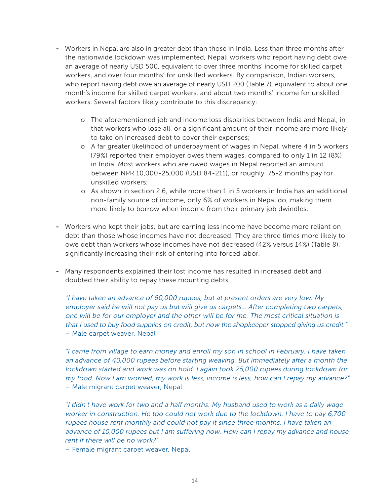- Workers in Nepal are also in greater debt than those in India. Less than three months after the nationwide lockdown was implemented, Nepali workers who report having debt owe an average of nearly USD 500, equivalent to over three months' income for skilled carpet workers, and over four months' for unskilled workers. By comparison, Indian workers, who report having debt owe an average of nearly USD 200 (Table 7), equivalent to about one month's income for skilled carpet workers, and about two months' income for unskilled workers. Several factors likely contribute to this discrepancy:
	- o The aforementioned job and income loss disparities between India and Nepal, in that workers who lose all, or a significant amount of their income are more likely to take on increased debt to cover their expenses;
	- o A far greater likelihood of underpayment of wages in Nepal, where 4 in 5 workers (79%) reported their employer owes them wages, compared to only 1 in 12 (8%) in India. Most workers who are owed wages in Nepal reported an amount between NPR 10,000-25,000 (USD 84-211), or roughly .75-2 months pay for unskilled workers;
	- o As shown in section 2.6, while more than 1 in 5 workers in India has an additional non-family source of income, only 6% of workers in Nepal do, making them more likely to borrow when income from their primary job dwindles.
- Workers who kept their jobs, but are earning less income have become more reliant on debt than those whose incomes have not decreased. They are three times more likely to owe debt than workers whose incomes have not decreased (42% versus 14%) (Table 8), significantly increasing their risk of entering into forced labor.
- Many respondents explained their lost income has resulted in increased debt and doubted their ability to repay these mounting debts.

"I have taken an advance of 60,000 rupees, but at present orders are very low. My employer said he will not pay us but will give us carpets… After completing two carpets, one will be for our employer and the other will be for me. The most critical situation is that I used to buy food supplies on credit, but now the shopkeeper stopped giving us credit." – Male carpet weaver, Nepal

"I came from village to earn money and enroll my son in school in February. I have taken an advance of 40,000 rupees before starting weaving. But immediately after a month the lockdown started and work was on hold. I again took 25,000 rupees during lockdown for my food. Now I am worried, my work is less, income is less, how can I repay my advance?" – Male migrant carpet weaver, Nepal

"I didn't have work for two and a half months. My husband used to work as a daily wage worker in construction. He too could not work due to the lockdown. I have to pay 6,700 rupees house rent monthly and could not pay it since three months. I have taken an advance of 10,000 rupees but I am suffering now. How can I repay my advance and house rent if there will be no work?"

– Female migrant carpet weaver, Nepal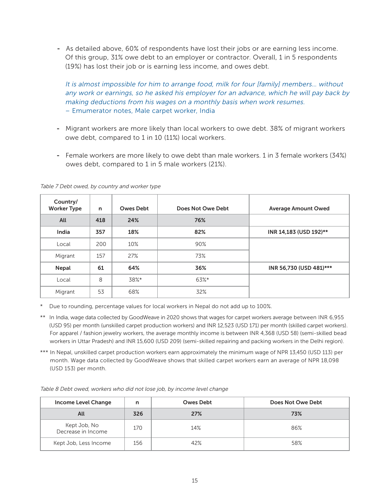- As detailed above, 60% of respondents have lost their jobs or are earning less income. Of this group, 31% owe debt to an employer or contractor. Overall, 1 in 5 respondents (19%) has lost their job or is earning less income, and owes debt.

It is almost impossible for him to arrange food, milk for four [family] members… without any work or earnings, so he asked his employer for an advance, which he will pay back by making deductions from his wages on a monthly basis when work resumes. – Emumerator notes, Male carpet worker, India

- Migrant workers are more likely than local workers to owe debt. 38% of migrant workers owe debt, compared to 1 in 10 (11%) local workers.
- Female workers are more likely to owe debt than male workers. 1 in 3 female workers (34%) owes debt, compared to 1 in 5 male workers (21%).

| Country/<br><b>Worker Type</b> | n   | <b>Owes Debt</b> | Does Not Owe Debt | <b>Average Amount Owed</b> |
|--------------------------------|-----|------------------|-------------------|----------------------------|
| All                            | 418 | 24%              | 76%               |                            |
| India                          | 357 | 18%              | 82%               | INR 14,183 (USD 192)**     |
| Local                          | 200 | 10%              | 90%               |                            |
| Migrant                        | 157 | 27%              | 73%               |                            |
| Nepal                          | 61  | 64%              | 36%               | INR 56,730 (USD 481)***    |
| Local                          | 8   | 38%*             | 63%*              |                            |
| Migrant                        | 53  | 68%              | 32%               |                            |

Table 7 Debt owed, by country and worker type

\* Due to rounding, percentage values for local workers in Nepal do not add up to 100%.

\*\* In India, wage data collected by GoodWeave in 2020 shows that wages for carpet workers average between INR 6,955 (USD 95) per month (unskilled carpet production workers) and INR 12,523 (USD 171) per month (skilled carpet workers). For apparel / fashion jewelry workers, the average monthly income is between INR 4,368 (USD 58) (semi-skilled bead workers in Uttar Pradesh) and INR 15,600 (USD 209) (semi-skilled repairing and packing workers in the Delhi region).

\*\*\* In Nepal, unskilled carpet production workers earn approximately the minimum wage of NPR 13,450 (USD 113) per month. Wage data collected by GoodWeave shows that skilled carpet workers earn an average of NPR 18,098 (USD 153) per month.

Table 8 Debt owed, workers who did not lose job, by income level change

| Income Level Change                | n   | <b>Owes Debt</b> | Does Not Owe Debt |
|------------------------------------|-----|------------------|-------------------|
| All                                | 326 | 27%              | 73%               |
| Kept Job, No<br>Decrease in Income | 170 | 14%              | 86%               |
| Kept Job, Less Income              | 156 | 42%              | 58%               |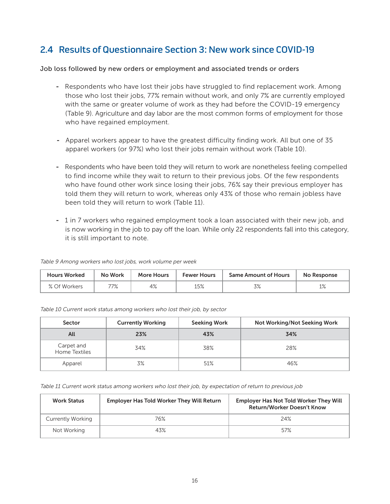# 2.4 Results of Questionnaire Section 3: New work since COVID-19

## Job loss followed by new orders or employment and associated trends or orders

- Respondents who have lost their jobs have struggled to find replacement work. Among those who lost their jobs, 77% remain without work, and only 7% are currently employed with the same or greater volume of work as they had before the COVID-19 emergency (Table 9). Agriculture and day labor are the most common forms of employment for those who have regained employment.
- Apparel workers appear to have the greatest difficulty finding work. All but one of 35 apparel workers (or 97%) who lost their jobs remain without work (Table 10).
- Respondents who have been told they will return to work are nonetheless feeling compelled to find income while they wait to return to their previous jobs. Of the few respondents who have found other work since losing their jobs, 76% say their previous employer has told them they will return to work, whereas only 43% of those who remain jobless have been told they will return to work (Table 11).
- 1 in 7 workers who regained employment took a loan associated with their new job, and is now working in the job to pay off the loan. While only 22 respondents fall into this category, it is still important to note.

Table 9 Among workers who lost jobs, work volume per week

| <b>Hours Worked</b> | <b>No Work</b> | <b>More Hours</b> | <b>Fewer Hours</b> | <b>Same Amount of Hours</b> | No Response                 |
|---------------------|----------------|-------------------|--------------------|-----------------------------|-----------------------------|
| % Of Workers        | フフロノ<br>//o    | 4%                | 15%                | 70/<br>$J/\circ$            | 10 <sub>1</sub><br>$\pm$ /0 |

| Sector                      | <b>Currently Working</b> | <b>Seeking Work</b> | <b>Not Working/Not Seeking Work</b> |
|-----------------------------|--------------------------|---------------------|-------------------------------------|
| All                         | 23%                      | 43%                 | 34%                                 |
| Carpet and<br>Home Textiles | 34%                      | 38%                 | 28%                                 |
| Apparel                     | 3%                       | 51%                 | 46%                                 |

Table 10 Current work status among workers who lost their job, by sector

Table 11 Current work status among workers who lost their job, by expectation of return to previous job

| <b>Work Status</b>       | <b>Employer Has Told Worker They Will Return</b> | <b>Employer Has Not Told Worker They Will</b><br><b>Return/Worker Doesn't Know</b> |
|--------------------------|--------------------------------------------------|------------------------------------------------------------------------------------|
| <b>Currently Working</b> | 76%                                              | 24%                                                                                |
| Not Working              | 43%                                              | 57%                                                                                |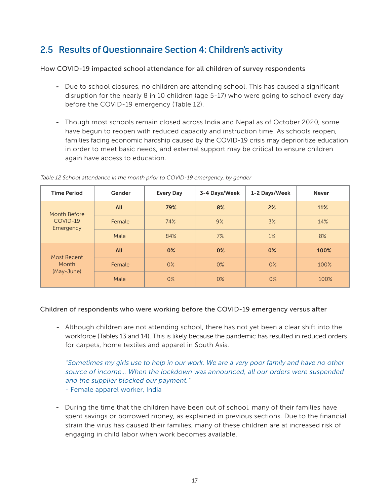# 2.5 Results of Questionnaire Section 4: Children's activity

## How COVID-19 impacted school attendance for all children of survey respondents

- Due to school closures, no children are attending school. This has caused a significant disruption for the nearly 8 in 10 children (age 5-17) who were going to school every day before the COVID-19 emergency (Table 12).
- Though most schools remain closed across India and Nepal as of October 2020, some have begun to reopen with reduced capacity and instruction time. As schools reopen, families facing economic hardship caused by the COVID-19 crisis may deprioritize education in order to meet basic needs, and external support may be critical to ensure children again have access to education.

| <b>Time Period</b>                    | Gender | <b>Every Day</b> | 3-4 Days/Week | 1-2 Days/Week | <b>Never</b> |
|---------------------------------------|--------|------------------|---------------|---------------|--------------|
| Month Before<br>COVID-19<br>Emergency | All    | 79%              | 8%            | 2%            | 11%          |
|                                       | Female | 74%              | 9%            | 3%            | 14%          |
|                                       | Male   | 84%              | 7%            | $1\%$         | 8%           |
| Most Recent<br>Month<br>(May-June)    | All    | $0\%$            | $0\%$         | $0\%$         | 100%         |
|                                       | Female | $0\%$            | $0\%$         | $0\%$         | 100%         |
|                                       | Male   | $0\%$            | $0\%$         | $0\%$         | 100%         |

Table 12 School attendance in the month prior to COVID-19 emergency, by gender

## Children of respondents who were working before the COVID-19 emergency versus after

- Although children are not attending school, there has not yet been a clear shift into the workforce (Tables 13 and 14). This is likely because the pandemic has resulted in reduced orders for carpets, home textiles and apparel in South Asia.

"Sometimes my girls use to help in our work. We are a very poor family and have no other source of income… When the lockdown was announced, all our orders were suspended and the supplier blocked our payment."

- Female apparel worker, India
- During the time that the children have been out of school, many of their families have spent savings or borrowed money, as explained in previous sections. Due to the financial strain the virus has caused their families, many of these children are at increased risk of engaging in child labor when work becomes available.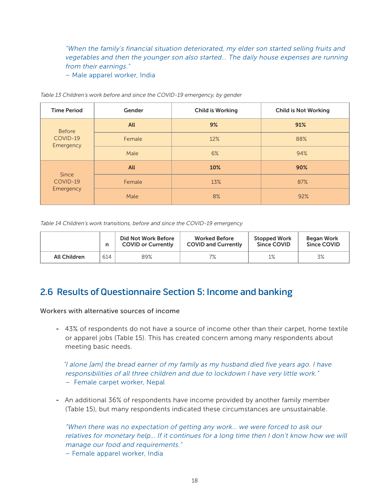"When the family's financial situation deteriorated, my elder son started selling fruits and vegetables and then the younger son also started… The daily house expenses are running from their earnings."

– Male apparel worker, India

| <b>Time Period</b>                     | Gender     | <b>Child is Working</b> | <b>Child is Not Working</b> |
|----------------------------------------|------------|-------------------------|-----------------------------|
| <b>Before</b><br>COVID-19<br>Emergency | <b>All</b> | 9%                      | 91%                         |
|                                        | Female     | 12%                     | 88%                         |
|                                        | Male       | 6%                      | 94%                         |
| <b>Since</b><br>COVID-19<br>Emergency  | <b>All</b> | 10%                     | 90%                         |
|                                        | Female     | 13%                     | 87%                         |
|                                        | Male       | 8%                      | 92%                         |

Table 13 Children's work before and since the COVID-19 emergency, by gender

Table 14 Children's work transitions, before and since the COVID-19 emergency

|                     | n   | Did Not Work Before<br><b>COVID or Currently</b> | <b>Worked Before</b><br><b>COVID and Currently</b> | <b>Stopped Work</b><br>Since COVID | Began Work<br>Since COVID |
|---------------------|-----|--------------------------------------------------|----------------------------------------------------|------------------------------------|---------------------------|
| <b>All Children</b> | 614 | 89%                                              | 7%                                                 | 1%                                 | 3%                        |

# 2.6 Results of Questionnaire Section 5: Income and banking

## Workers with alternative sources of income

- 43% of respondents do not have a source of income other than their carpet, home textile or apparel jobs (Table 15). This has created concern among many respondents about meeting basic needs.

"I alone [am] the bread earner of my family as my husband died five years ago. I have responsibilities of all three children and due to lockdown I have very little work." – Female carpet worker, Nepal

- An additional 36% of respondents have income provided by another family member (Table 15), but many respondents indicated these circumstances are unsustainable.

"When there was no expectation of getting any work… we were forced to ask our relatives for monetary help… If it continues for a long time then I don't know how we will manage our food and requirements."

– Female apparel worker, India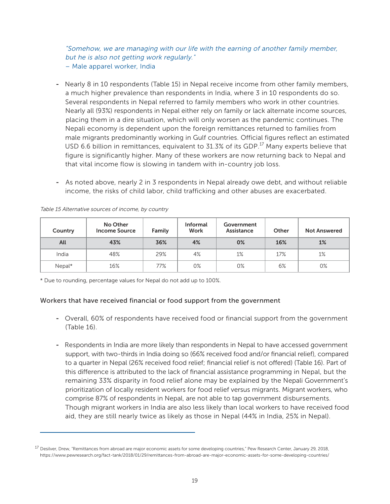"Somehow, we are managing with our life with the earning of another family member, but he is also not getting work regularly."

- Male apparel worker, India
- Nearly 8 in 10 respondents (Table 15) in Nepal receive income from other family members, a much higher prevalence than respondents in India, where 3 in 10 respondents do so. Several respondents in Nepal referred to family members who work in other countries. Nearly all (93%) respondents in Nepal either rely on family or lack alternate income sources, placing them in a dire situation, which will only worsen as the pandemic continues. The Nepali economy is dependent upon the foreign remittances returned to families from male migrants predominantly working in Gulf countries. Official figures reflect an estimated USD 6.6 billion in remittances, equivalent to  $31.3\%$  of its GDP.<sup>17</sup> Many experts believe that figure is significantly higher. Many of these workers are now returning back to Nepal and that vital income flow is slowing in tandem with in-country job loss.
- As noted above, nearly 2 in 3 respondents in Nepal already owe debt, and without reliable income, the risks of child labor, child trafficking and other abuses are exacerbated.

| Country | No Other<br><b>Income Source</b> | Family | <b>Informal</b><br><b>Work</b> | Government<br>Assistance | Other | <b>Not Answered</b> |
|---------|----------------------------------|--------|--------------------------------|--------------------------|-------|---------------------|
| All     | 43%                              | 36%    | 4%                             | 0%                       | 16%   | 1%                  |
| India   | 48%                              | 29%    | 4%                             | 1%                       | 17%   | 1%                  |
| Nepal*  | 16%                              | 77%    | 0%                             | 0%                       | 6%    | 0%                  |

Table 15 Alternative sources of income, by country

\* Due to rounding, percentage values for Nepal do not add up to 100%.

## Workers that have received financial or food support from the government

- Overall, 60% of respondents have received food or financial support from the government (Table 16).
- Respondents in India are more likely than respondents in Nepal to have accessed government support, with two-thirds in India doing so (66% received food and/or financial relief), compared to a quarter in Nepal (26% received food relief; financial relief is not offered) (Table 16). Part of this difference is attributed to the lack of financial assistance programming in Nepal, but the remaining 33% disparity in food relief alone may be explained by the Nepali Government's prioritization of locally resident workers for food relief versus migrants. Migrant workers, who comprise 87% of respondents in Nepal, are not able to tap government disbursements. Though migrant workers in India are also less likely than local workers to have received food aid, they are still nearly twice as likely as those in Nepal (44% in India, 25% in Nepal).

<sup>&</sup>lt;sup>17</sup> Desilver, Drew, "Remittances from abroad are major economic assets for some developing countries," Pew Research Center, January 29, 2018, https://www.pewresearch.org/fact-tank/2018/01/29/remittances-from-abroad-are-major-economic-assets-for-some-developing-countries/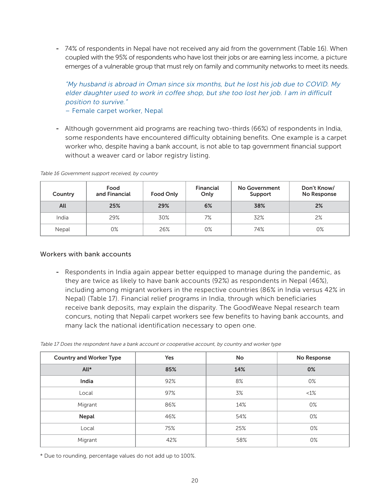- 74% of respondents in Nepal have not received any aid from the government (Table 16). When coupled with the 95% of respondents who have lost their jobs or are earning less income, a picture emerges of a vulnerable group that must rely on family and community networks to meet its needs.

# "My husband is abroad in Oman since six months, but he lost his job due to COVID. My elder daughter used to work in coffee shop, but she too lost her job. I am in difficult position to survive."

– Female carpet worker, Nepal

- Although government aid programs are reaching two-thirds (66%) of respondents in India, some respondents have encountered difficulty obtaining benefits. One example is a carpet worker who, despite having a bank account, is not able to tap government financial support without a weaver card or labor registry listing.

| Country | Food<br>and Financial | <b>Food Only</b> | <b>Financial</b><br>Only | No Government<br>Support | Don't Know/<br>No Response |
|---------|-----------------------|------------------|--------------------------|--------------------------|----------------------------|
| All     | 25%                   | 29%              | 6%                       | 38%                      | 2%                         |
| India   | 29%                   | 30%              | 7%                       | 32%                      | 2%                         |
| Nepal   | 0%                    | 26%              | 0%                       | 74%                      | 0%                         |

Table 16 Government support received, by country

## Workers with bank accounts

- Respondents in India again appear better equipped to manage during the pandemic, as they are twice as likely to have bank accounts (92%) as respondents in Nepal (46%), including among migrant workers in the respective countries (86% in India versus 42% in Nepal) (Table 17). Financial relief programs in India, through which beneficiaries receive bank deposits, may explain the disparity. The GoodWeave Nepal research team concurs, noting that Nepali carpet workers see few benefits to having bank accounts, and many lack the national identification necessary to open one.

| Table 17 Does the respondent have a bank account or cooperative account, by country and worker type |  |
|-----------------------------------------------------------------------------------------------------|--|
|                                                                                                     |  |
|                                                                                                     |  |

| <b>Country and Worker Type</b> | <b>Yes</b> | <b>No</b> | No Response |
|--------------------------------|------------|-----------|-------------|
| All*                           | 85%        | 14%       | 0%          |
| India                          | 92%        | 8%        | 0%          |
| Local                          | 97%        | 3%        | $<1\%$      |
| Migrant                        | 86%        | 14%       | 0%          |
| <b>Nepal</b>                   | 46%        | 54%       | 0%          |
| Local                          | 75%        | 25%       | $0\%$       |
| Migrant                        | 42%        | 58%       | 0%          |

\* Due to rounding, percentage values do not add up to 100%.